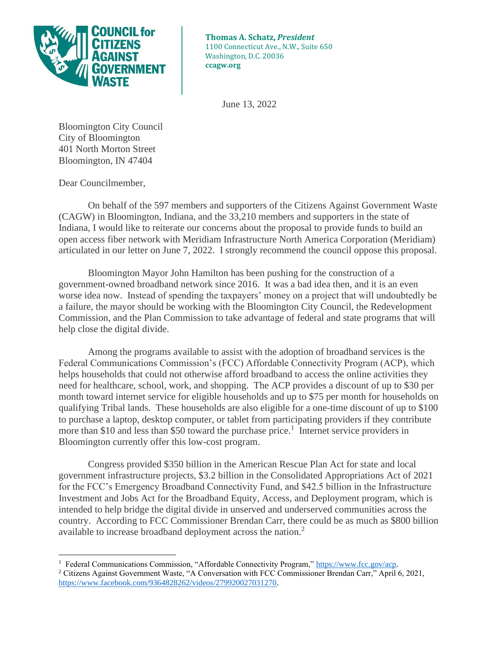

**Thomas A. Schatz,** *President* 1100 Connecticut Ave., N.W., Suite 650 Washington, D.C. 20036 **ccagw.org**

June 13, 2022

Bloomington City Council City of Bloomington 401 North Morton Street Bloomington, IN 47404

Dear Councilmember,

On behalf of the 597 members and supporters of the Citizens Against Government Waste (CAGW) in Bloomington, Indiana, and the 33,210 members and supporters in the state of Indiana, I would like to reiterate our concerns about the proposal to provide funds to build an open access fiber network with Meridiam Infrastructure North America Corporation (Meridiam) articulated in our letter on June 7, 2022. I strongly recommend the council oppose this proposal.

Bloomington Mayor John Hamilton has been pushing for the construction of a government-owned broadband network since 2016. It was a bad idea then, and it is an even worse idea now. Instead of spending the taxpayers' money on a project that will undoubtedly be a failure, the mayor should be working with the Bloomington City Council, the Redevelopment Commission, and the Plan Commission to take advantage of federal and state programs that will help close the digital divide.

Among the programs available to assist with the adoption of broadband services is the Federal Communications Commission's (FCC) Affordable Connectivity Program (ACP), which helps households that could not otherwise afford broadband to access the online activities they need for healthcare, school, work, and shopping. The ACP provides a discount of up to \$30 per month toward internet service for eligible households and up to \$75 per month for households on qualifying Tribal lands. These households are also eligible for a one-time discount of up to \$100 to purchase a laptop, desktop computer, or tablet from participating providers if they contribute more than \$10 and less than \$50 toward the purchase price.<sup>1</sup> Internet service providers in Bloomington currently offer this low-cost program.

Congress provided \$350 billion in the American Rescue Plan Act for state and local government infrastructure projects, \$3.2 billion in the Consolidated Appropriations Act of 2021 for the FCC's Emergency Broadband Connectivity Fund, and \$42.5 billion in the Infrastructure Investment and Jobs Act for the Broadband Equity, Access, and Deployment program, which is intended to help bridge the digital divide in unserved and underserved communities across the country. According to FCC Commissioner Brendan Carr, there could be as much as \$800 billion available to increase broadband deployment across the nation.<sup>2</sup>

<sup>&</sup>lt;sup>1</sup> Federal Communications Commission, "Affordable Connectivity Program," [https://www.fcc.gov/acp.](https://www.fcc.gov/acp)

<sup>2</sup> Citizens Against Government Waste, "A Conversation with FCC Commissioner Brendan Carr," April 6, 2021, [https://www.facebook.com/9364828262/videos/279920027031270.](https://www.facebook.com/9364828262/videos/279920027031270)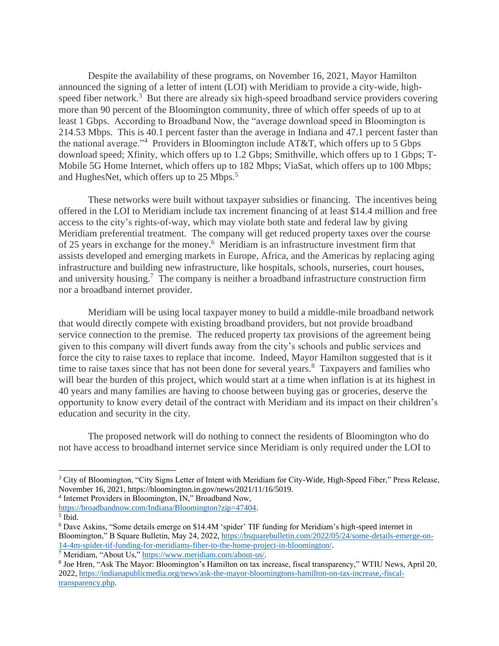Despite the availability of these programs, on November 16, 2021, Mayor Hamilton announced the signing of a letter of intent (LOI) with Meridiam to provide a city-wide, highspeed fiber network.<sup>3</sup> But there are already six high-speed broadband service providers covering more than 90 percent of the Bloomington community, three of which offer speeds of up to at least 1 Gbps. According to Broadband Now, the "average download speed in Bloomington is 214.53 Mbps. This is 40.1 percent faster than the average in Indiana and 47.1 percent faster than the national average."<sup>4</sup> Providers in Bloomington include AT&T, which offers up to 5 Gbps download speed; Xfinity, which offers up to 1.2 Gbps; Smithville, which offers up to 1 Gbps; T-Mobile 5G Home Internet, which offers up to 182 Mbps; ViaSat, which offers up to 100 Mbps; and HughesNet, which offers up to 25 Mbps.<sup>5</sup>

These networks were built without taxpayer subsidies or financing. The incentives being offered in the LOI to Meridiam include tax increment financing of at least \$14.4 million and free access to the city's rights-of-way, which may violate both state and federal law by giving Meridiam preferential treatment. The company will get reduced property taxes over the course of 25 years in exchange for the money.<sup>6</sup> Meridiam is an infrastructure investment firm that assists developed and emerging markets in Europe, Africa, and the Americas by replacing aging infrastructure and building new infrastructure, like hospitals, schools, nurseries, court houses, and university housing.<sup>7</sup> The company is neither a broadband infrastructure construction firm nor a broadband internet provider.

Meridiam will be using local taxpayer money to build a middle-mile broadband network that would directly compete with existing broadband providers, but not provide broadband service connection to the premise. The reduced property tax provisions of the agreement being given to this company will divert funds away from the city's schools and public services and force the city to raise taxes to replace that income. Indeed, Mayor Hamilton suggested that is it time to raise taxes since that has not been done for several years.<sup>8</sup> Taxpayers and families who will bear the burden of this project, which would start at a time when inflation is at its highest in 40 years and many families are having to choose between buying gas or groceries, deserve the opportunity to know every detail of the contract with Meridiam and its impact on their children's education and security in the city.

The proposed network will do nothing to connect the residents of Bloomington who do not have access to broadband internet service since Meridiam is only required under the LOI to

4 Internet Providers in Bloomington, IN," Broadband Now,

<sup>7</sup> Meridiam, "About Us,[" https://www.meridiam.com/about-us/.](https://www.meridiam.com/about-us/)

<sup>&</sup>lt;sup>3</sup> City of Bloomington, "City Signs Letter of Intent with Meridiam for City-Wide, High-Speed Fiber," Press Release, November 16, 2021, https://bloomington.in.gov/news/2021/11/16/5019.

[https://broadbandnow.com/Indiana/Bloomington?zip=47404.](https://broadbandnow.com/Indiana/Bloomington?zip=47404)

<sup>5</sup> Ibid.

<sup>6</sup> Dave Askins, "Some details emerge on \$14.4M 'spider' TIF funding for Meridiam's high-speed internet in Bloomington," B Square Bulletin, May 24, 2022[, https://bsquarebulletin.com/2022/05/24/some-details-emerge-on-](https://bsquarebulletin.com/2022/05/24/some-details-emerge-on-14-4m-spider-tif-funding-for-meridiams-fiber-to-the-home-project-in-bloomington/)[14-4m-spider-tif-funding-for-meridiams-fiber-to-the-home-project-in-bloomington/.](https://bsquarebulletin.com/2022/05/24/some-details-emerge-on-14-4m-spider-tif-funding-for-meridiams-fiber-to-the-home-project-in-bloomington/)

<sup>&</sup>lt;sup>8</sup> Joe Hren, "Ask The Mayor: Bloomington's Hamilton on tax increase, fiscal transparency," WTIU News, April 20, 2022, [https://indianapublicmedia.org/news/ask-the-mayor-bloomingtons-hamilton-on-tax-increase,-fiscal](https://indianapublicmedia.org/news/ask-the-mayor-bloomingtons-hamilton-on-tax-increase,-fiscal-transparency.php)[transparency.php.](https://indianapublicmedia.org/news/ask-the-mayor-bloomingtons-hamilton-on-tax-increase,-fiscal-transparency.php)